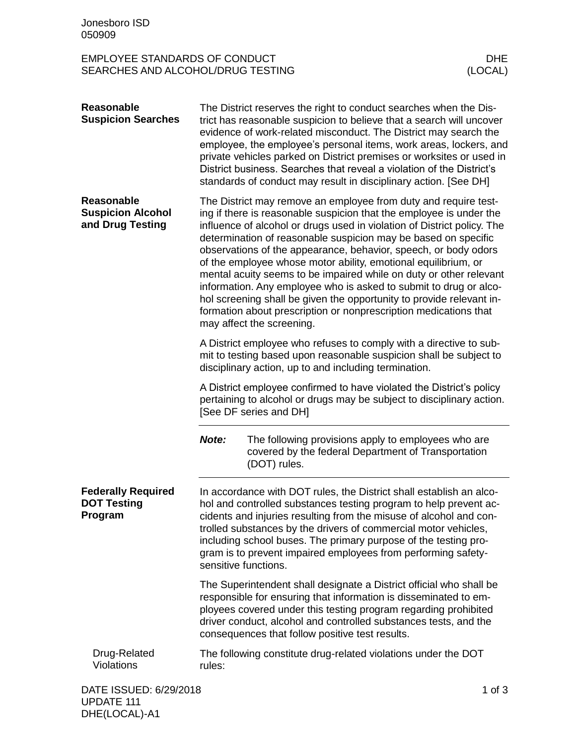## EMPLOYEE STANDARDS OF CONDUCT DHE SEARCHES AND ALCOHOL/DRUG TESTING

| <b>Reasonable</b><br><b>Suspicion Searches</b>                    |                                                                                                                                                                                                                                                                                                                                                                                                                                                                                                                                                                                                                                                                                                                                              | The District reserves the right to conduct searches when the Dis-<br>trict has reasonable suspicion to believe that a search will uncover<br>evidence of work-related misconduct. The District may search the<br>employee, the employee's personal items, work areas, lockers, and<br>private vehicles parked on District premises or worksites or used in<br>District business. Searches that reveal a violation of the District's<br>standards of conduct may result in disciplinary action. [See DH] |          |  |
|-------------------------------------------------------------------|----------------------------------------------------------------------------------------------------------------------------------------------------------------------------------------------------------------------------------------------------------------------------------------------------------------------------------------------------------------------------------------------------------------------------------------------------------------------------------------------------------------------------------------------------------------------------------------------------------------------------------------------------------------------------------------------------------------------------------------------|---------------------------------------------------------------------------------------------------------------------------------------------------------------------------------------------------------------------------------------------------------------------------------------------------------------------------------------------------------------------------------------------------------------------------------------------------------------------------------------------------------|----------|--|
| <b>Reasonable</b><br><b>Suspicion Alcohol</b><br>and Drug Testing | The District may remove an employee from duty and require test-<br>ing if there is reasonable suspicion that the employee is under the<br>influence of alcohol or drugs used in violation of District policy. The<br>determination of reasonable suspicion may be based on specific<br>observations of the appearance, behavior, speech, or body odors<br>of the employee whose motor ability, emotional equilibrium, or<br>mental acuity seems to be impaired while on duty or other relevant<br>information. Any employee who is asked to submit to drug or alco-<br>hol screening shall be given the opportunity to provide relevant in-<br>formation about prescription or nonprescription medications that<br>may affect the screening. |                                                                                                                                                                                                                                                                                                                                                                                                                                                                                                         |          |  |
|                                                                   |                                                                                                                                                                                                                                                                                                                                                                                                                                                                                                                                                                                                                                                                                                                                              | A District employee who refuses to comply with a directive to sub-<br>mit to testing based upon reasonable suspicion shall be subject to<br>disciplinary action, up to and including termination.                                                                                                                                                                                                                                                                                                       |          |  |
|                                                                   | A District employee confirmed to have violated the District's policy<br>pertaining to alcohol or drugs may be subject to disciplinary action.<br>[See DF series and DH]                                                                                                                                                                                                                                                                                                                                                                                                                                                                                                                                                                      |                                                                                                                                                                                                                                                                                                                                                                                                                                                                                                         |          |  |
|                                                                   | Note:                                                                                                                                                                                                                                                                                                                                                                                                                                                                                                                                                                                                                                                                                                                                        | The following provisions apply to employees who are<br>covered by the federal Department of Transportation<br>(DOT) rules.                                                                                                                                                                                                                                                                                                                                                                              |          |  |
| <b>Federally Required</b><br><b>DOT Testing</b><br>Program        | In accordance with DOT rules, the District shall establish an alco-<br>hol and controlled substances testing program to help prevent ac-<br>cidents and injuries resulting from the misuse of alcohol and con-<br>trolled substances by the drivers of commercial motor vehicles,<br>including school buses. The primary purpose of the testing pro-<br>gram is to prevent impaired employees from performing safety-<br>sensitive functions.                                                                                                                                                                                                                                                                                                |                                                                                                                                                                                                                                                                                                                                                                                                                                                                                                         |          |  |
|                                                                   | The Superintendent shall designate a District official who shall be<br>responsible for ensuring that information is disseminated to em-<br>ployees covered under this testing program regarding prohibited<br>driver conduct, alcohol and controlled substances tests, and the<br>consequences that follow positive test results.                                                                                                                                                                                                                                                                                                                                                                                                            |                                                                                                                                                                                                                                                                                                                                                                                                                                                                                                         |          |  |
| Drug-Related<br>Violations                                        | The following constitute drug-related violations under the DOT<br>rules:                                                                                                                                                                                                                                                                                                                                                                                                                                                                                                                                                                                                                                                                     |                                                                                                                                                                                                                                                                                                                                                                                                                                                                                                         |          |  |
| DATE ISSUED: 6/29/2018                                            |                                                                                                                                                                                                                                                                                                                                                                                                                                                                                                                                                                                                                                                                                                                                              |                                                                                                                                                                                                                                                                                                                                                                                                                                                                                                         | 1 of $3$ |  |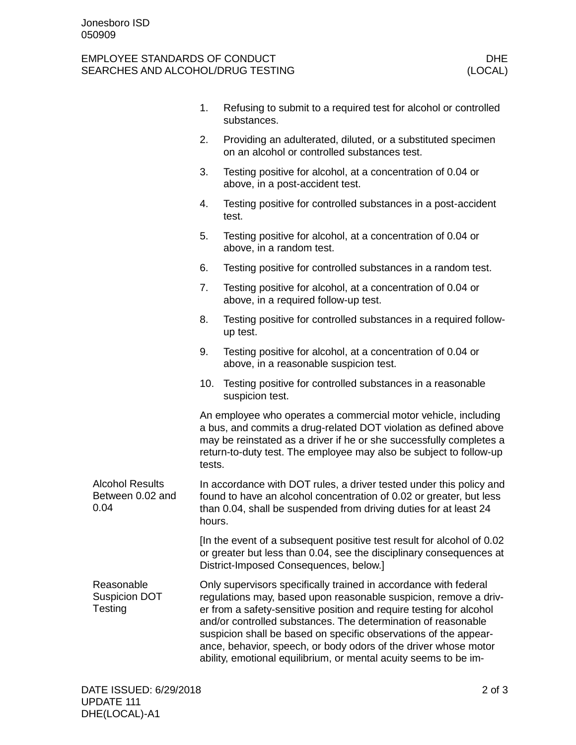## EMPLOYEE STANDARDS OF CONDUCT DHE SEARCHES AND ALCOHOL/DRUG TESTING

|                                                    | 1.                                                                                                                                                                                                                                                                                                                                                                                                                                                                                      | Refusing to submit to a required test for alcohol or controlled<br>substances.                                                                                                          |  |
|----------------------------------------------------|-----------------------------------------------------------------------------------------------------------------------------------------------------------------------------------------------------------------------------------------------------------------------------------------------------------------------------------------------------------------------------------------------------------------------------------------------------------------------------------------|-----------------------------------------------------------------------------------------------------------------------------------------------------------------------------------------|--|
|                                                    | 2.                                                                                                                                                                                                                                                                                                                                                                                                                                                                                      | Providing an adulterated, diluted, or a substituted specimen<br>on an alcohol or controlled substances test.                                                                            |  |
|                                                    | 3.                                                                                                                                                                                                                                                                                                                                                                                                                                                                                      | Testing positive for alcohol, at a concentration of 0.04 or<br>above, in a post-accident test.                                                                                          |  |
|                                                    | 4.                                                                                                                                                                                                                                                                                                                                                                                                                                                                                      | Testing positive for controlled substances in a post-accident<br>test.                                                                                                                  |  |
|                                                    | 5.                                                                                                                                                                                                                                                                                                                                                                                                                                                                                      | Testing positive for alcohol, at a concentration of 0.04 or<br>above, in a random test.                                                                                                 |  |
|                                                    | 6.                                                                                                                                                                                                                                                                                                                                                                                                                                                                                      | Testing positive for controlled substances in a random test.                                                                                                                            |  |
|                                                    | 7.                                                                                                                                                                                                                                                                                                                                                                                                                                                                                      | Testing positive for alcohol, at a concentration of 0.04 or<br>above, in a required follow-up test.                                                                                     |  |
|                                                    | 8.                                                                                                                                                                                                                                                                                                                                                                                                                                                                                      | Testing positive for controlled substances in a required follow-<br>up test.                                                                                                            |  |
|                                                    | 9.                                                                                                                                                                                                                                                                                                                                                                                                                                                                                      | Testing positive for alcohol, at a concentration of 0.04 or<br>above, in a reasonable suspicion test.                                                                                   |  |
|                                                    | 10.                                                                                                                                                                                                                                                                                                                                                                                                                                                                                     | Testing positive for controlled substances in a reasonable<br>suspicion test.                                                                                                           |  |
|                                                    | An employee who operates a commercial motor vehicle, including<br>a bus, and commits a drug-related DOT violation as defined above<br>may be reinstated as a driver if he or she successfully completes a<br>return-to-duty test. The employee may also be subject to follow-up<br>tests.                                                                                                                                                                                               |                                                                                                                                                                                         |  |
| <b>Alcohol Results</b><br>Between 0.02 and<br>0.04 | In accordance with DOT rules, a driver tested under this policy and<br>found to have an alcohol concentration of 0.02 or greater, but less<br>than 0.04, shall be suspended from driving duties for at least 24<br>hours.                                                                                                                                                                                                                                                               |                                                                                                                                                                                         |  |
|                                                    |                                                                                                                                                                                                                                                                                                                                                                                                                                                                                         | [In the event of a subsequent positive test result for alcohol of 0.02<br>or greater but less than 0.04, see the disciplinary consequences at<br>District-Imposed Consequences, below.] |  |
| Reasonable<br><b>Suspicion DOT</b><br>Testing      | Only supervisors specifically trained in accordance with federal<br>regulations may, based upon reasonable suspicion, remove a driv-<br>er from a safety-sensitive position and require testing for alcohol<br>and/or controlled substances. The determination of reasonable<br>suspicion shall be based on specific observations of the appear-<br>ance, behavior, speech, or body odors of the driver whose motor<br>ability, emotional equilibrium, or mental acuity seems to be im- |                                                                                                                                                                                         |  |